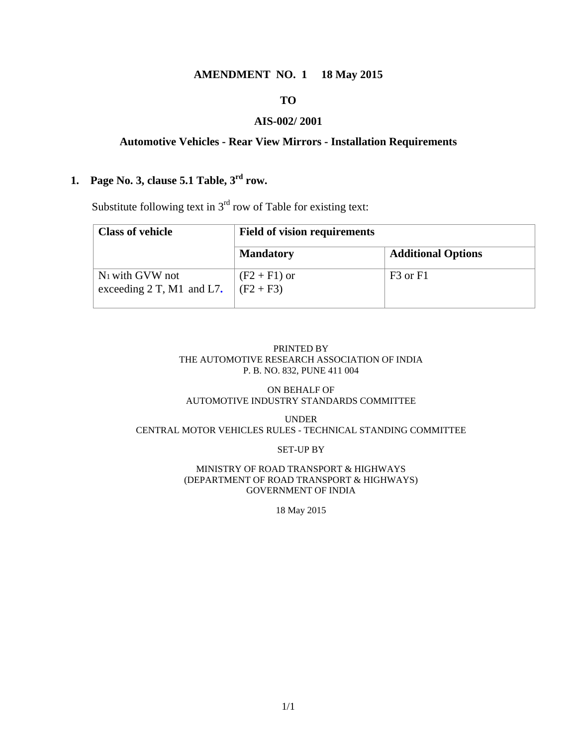#### **AMENDMENT NO. 1 18 May 2015**

#### **TO**

#### **AIS-002/ 2001**

#### **Automotive Vehicles - Rear View Mirrors - Installation Requirements**

# **1. Page No. 3, clause 5.1 Table, 3rd row.**

Substitute following text in  $3<sup>rd</sup>$  row of Table for existing text:

| <b>Class of vehicle</b>                                    | <b>Field of vision requirements</b> |                                  |  |
|------------------------------------------------------------|-------------------------------------|----------------------------------|--|
|                                                            | <b>Mandatory</b>                    | <b>Additional Options</b>        |  |
| N <sub>1</sub> with GVW not<br>exceeding $2$ T, M1 and L7. | $(F2 + F1)$ or<br>$(F2 + F3)$       | F <sub>3</sub> or F <sub>1</sub> |  |

#### PRINTED BY THE AUTOMOTIVE RESEARCH ASSOCIATION OF INDIA P. B. NO. 832, PUNE 411 004

#### ON BEHALF OF AUTOMOTIVE INDUSTRY STANDARDS COMMITTEE

#### UNDER CENTRAL MOTOR VEHICLES RULES - TECHNICAL STANDING COMMITTEE

#### SET-UP BY

#### MINISTRY OF ROAD TRANSPORT & HIGHWAYS (DEPARTMENT OF ROAD TRANSPORT & HIGHWAYS) GOVERNMENT OF INDIA

18 May 2015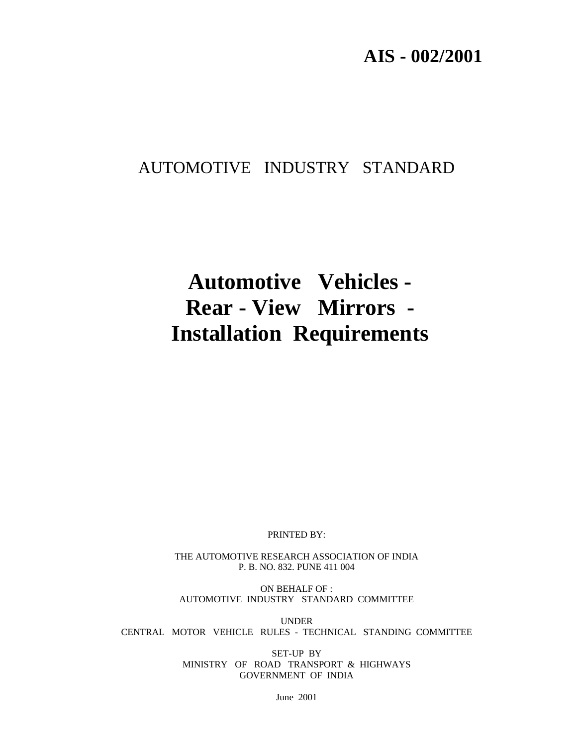# **AIS - 002/2001**

# AUTOMOTIVE INDUSTRY STANDARD

# **Automotive Vehicles - Rear - View Mirrors - Installation Requirements**

PRINTED BY:

THE AUTOMOTIVE RESEARCH ASSOCIATION OF INDIA P. B. NO. 832. PUNE 411 004

ON BEHALF OF : AUTOMOTIVE INDUSTRY STANDARD COMMITTEE

UNDER CENTRAL MOTOR VEHICLE RULES - TECHNICAL STANDING COMMITTEE

> SET-UP BY MINISTRY OF ROAD TRANSPORT & HIGHWAYS GOVERNMENT OF INDIA

> > June 2001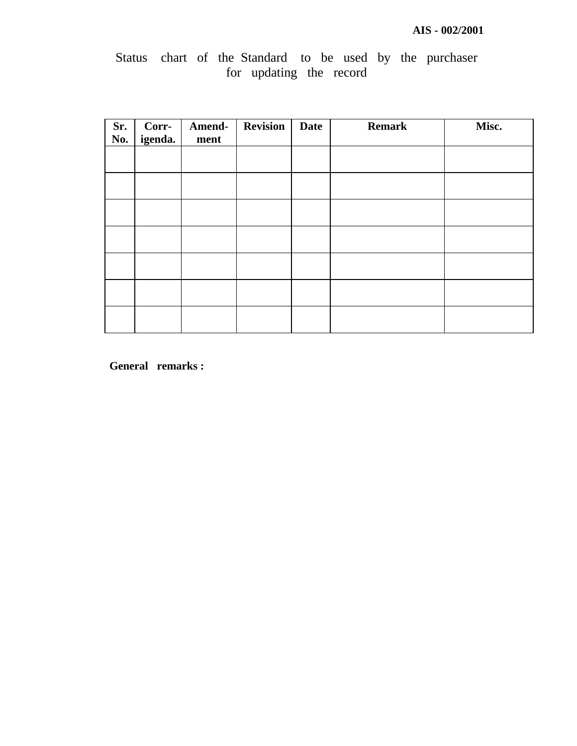# Status chart of the Standard to be used by the purchaser for updating the record

| Sr.<br>No. | Corr-<br>igenda. | Amend-<br>ment | <b>Revision</b> | <b>Date</b> | <b>Remark</b> | Misc. |
|------------|------------------|----------------|-----------------|-------------|---------------|-------|
|            |                  |                |                 |             |               |       |
|            |                  |                |                 |             |               |       |
|            |                  |                |                 |             |               |       |
|            |                  |                |                 |             |               |       |
|            |                  |                |                 |             |               |       |
|            |                  |                |                 |             |               |       |
|            |                  |                |                 |             |               |       |

**General remarks :**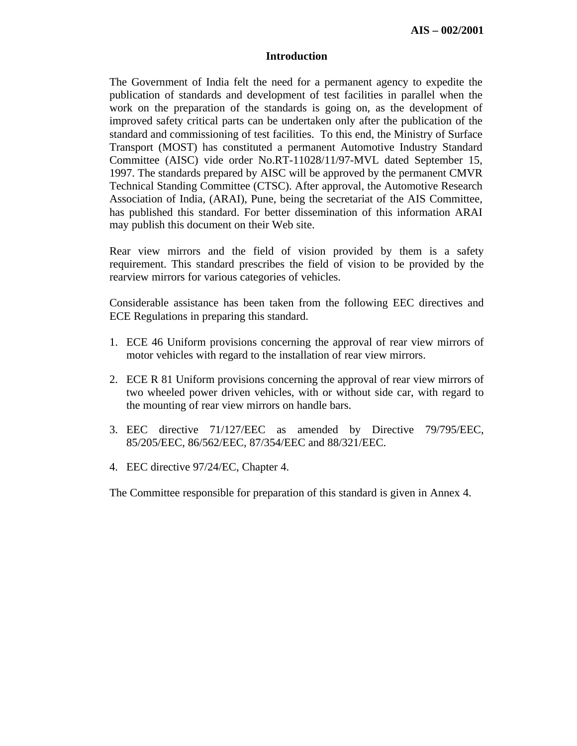#### **Introduction**

The Government of India felt the need for a permanent agency to expedite the publication of standards and development of test facilities in parallel when the work on the preparation of the standards is going on, as the development of improved safety critical parts can be undertaken only after the publication of the standard and commissioning of test facilities. To this end, the Ministry of Surface Transport (MOST) has constituted a permanent Automotive Industry Standard Committee (AISC) vide order No.RT-11028/11/97-MVL dated September 15, 1997. The standards prepared by AISC will be approved by the permanent CMVR Technical Standing Committee (CTSC). After approval, the Automotive Research Association of India, (ARAI), Pune, being the secretariat of the AIS Committee, has published this standard. For better dissemination of this information ARAI may publish this document on their Web site.

Rear view mirrors and the field of vision provided by them is a safety requirement. This standard prescribes the field of vision to be provided by the rearview mirrors for various categories of vehicles.

Considerable assistance has been taken from the following EEC directives and ECE Regulations in preparing this standard.

- 1. ECE 46 Uniform provisions concerning the approval of rear view mirrors of motor vehicles with regard to the installation of rear view mirrors.
- 2. ECE R 81 Uniform provisions concerning the approval of rear view mirrors of two wheeled power driven vehicles, with or without side car, with regard to the mounting of rear view mirrors on handle bars.
- 3. EEC directive 71/127/EEC as amended by Directive 79/795/EEC, 85/205/EEC, 86/562/EEC, 87/354/EEC and 88/321/EEC.
- 4. EEC directive 97/24/EC, Chapter 4.

The Committee responsible for preparation of this standard is given in Annex 4.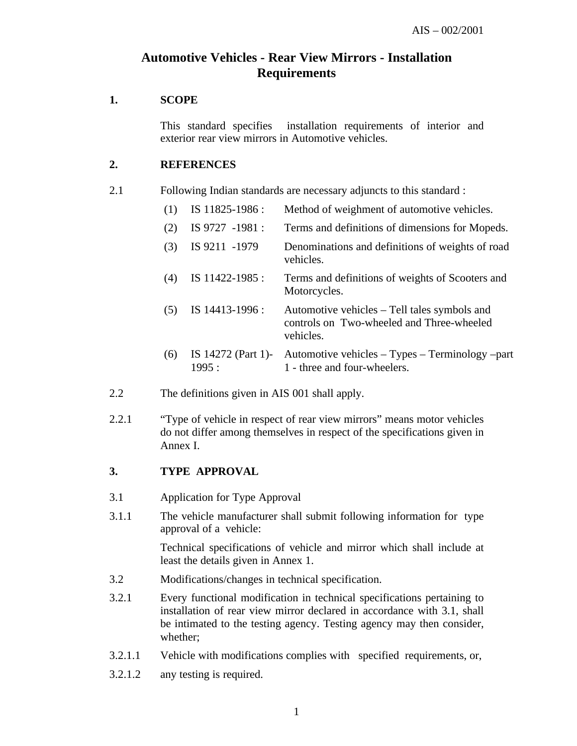# **Automotive Vehicles - Rear View Mirrors - Installation Requirements**

#### **1. SCOPE**

This standard specifies installation requirements of interior and exterior rear view mirrors in Automotive vehicles.

#### **2. REFERENCES**

2.1 Following Indian standards are necessary adjuncts to this standard :

| (1) | IS 11825-1986:              | Method of weighment of automotive vehicles.                                                            |
|-----|-----------------------------|--------------------------------------------------------------------------------------------------------|
| (2) | IS 9727 -1981 :             | Terms and definitions of dimensions for Mopeds.                                                        |
| (3) | IS 9211 -1979               | Denominations and definitions of weights of road<br>vehicles.                                          |
| (4) | IS 11422-1985 :             | Terms and definitions of weights of Scooters and<br>Motorcycles.                                       |
| (5) | IS 14413-1996 :             | Automotive vehicles – Tell tales symbols and<br>controls on Two-wheeled and Three-wheeled<br>vehicles. |
| (6) | IS 14272 (Part 1)-<br>1995: | Automotive vehicles – Types – Terminology –part<br>1 - three and four-wheelers.                        |

- 2.2 The definitions given in AIS 001 shall apply.
- 2.2.1 "Type of vehicle in respect of rear view mirrors" means motor vehicles do not differ among themselves in respect of the specifications given in Annex I.

# **3. TYPE APPROVAL**

- 3.1 Application for Type Approval
- 3.1.1 The vehicle manufacturer shall submit following information for type approval of a vehicle:

Technical specifications of vehicle and mirror which shall include at least the details given in Annex 1.

- 3.2 Modifications/changes in technical specification.
- 3.2.1 Every functional modification in technical specifications pertaining to installation of rear view mirror declared in accordance with 3.1, shall be intimated to the testing agency. Testing agency may then consider, whether;
- 3.2.1.1 Vehicle with modifications complies with specified requirements, or,
- 3.2.1.2 any testing is required.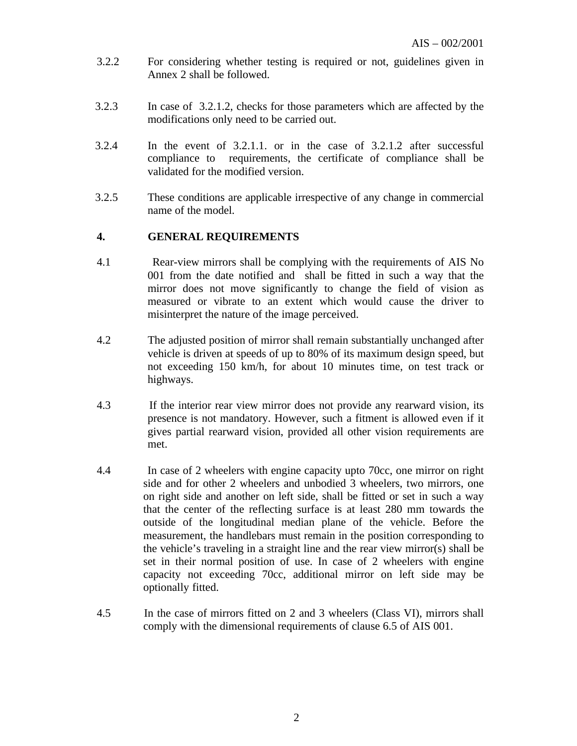- 3.2.2 For considering whether testing is required or not, guidelines given in Annex 2 shall be followed.
- 3.2.3 In case of 3.2.1.2, checks for those parameters which are affected by the modifications only need to be carried out.
- 3.2.4 In the event of 3.2.1.1. or in the case of 3.2.1.2 after successful compliance to requirements, the certificate of compliance shall be validated for the modified version.
- 3.2.5 These conditions are applicable irrespective of any change in commercial name of the model.

## **4. GENERAL REQUIREMENTS**

- 4.1 Rear-view mirrors shall be complying with the requirements of AIS No 001 from the date notified and shall be fitted in such a way that the mirror does not move significantly to change the field of vision as measured or vibrate to an extent which would cause the driver to misinterpret the nature of the image perceived.
- 4.2 The adjusted position of mirror shall remain substantially unchanged after vehicle is driven at speeds of up to 80% of its maximum design speed, but not exceeding 150 km/h, for about 10 minutes time, on test track or highways.
- 4.3 If the interior rear view mirror does not provide any rearward vision, its presence is not mandatory. However, such a fitment is allowed even if it gives partial rearward vision, provided all other vision requirements are met.
- 4.4 In case of 2 wheelers with engine capacity upto 70cc, one mirror on right side and for other 2 wheelers and unbodied 3 wheelers, two mirrors, one on right side and another on left side, shall be fitted or set in such a way that the center of the reflecting surface is at least 280 mm towards the outside of the longitudinal median plane of the vehicle. Before the measurement, the handlebars must remain in the position corresponding to the vehicle's traveling in a straight line and the rear view mirror(s) shall be set in their normal position of use. In case of 2 wheelers with engine capacity not exceeding 70cc, additional mirror on left side may be optionally fitted.
- 4.5 In the case of mirrors fitted on 2 and 3 wheelers (Class VI), mirrors shall comply with the dimensional requirements of clause 6.5 of AIS 001.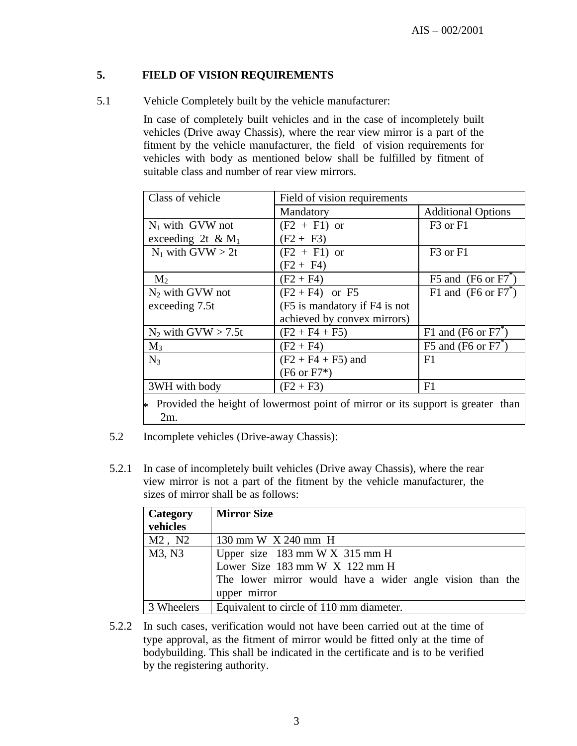# **5. FIELD OF VISION REQUIREMENTS**

5.1 Vehicle Completely built by the vehicle manufacturer:

In case of completely built vehicles and in the case of incompletely built vehicles (Drive away Chassis), where the rear view mirror is a part of the fitment by the vehicle manufacturer, the field of vision requirements for vehicles with body as mentioned below shall be fulfilled by fitment of suitable class and number of rear view mirrors.

| Class of vehicle                                                                  | Field of vision requirements  |                                  |
|-----------------------------------------------------------------------------------|-------------------------------|----------------------------------|
|                                                                                   | Mandatory                     | <b>Additional Options</b>        |
| $N_1$ with GVW not                                                                | $(F2 + F1)$ or                | F <sub>3</sub> or F <sub>1</sub> |
| exceeding 2t & $M_1$                                                              | $(F2 + F3)$                   |                                  |
| $N_1$ with $GVW > 2t$                                                             | $(F2 + F1)$ or                | F <sub>3</sub> or F <sub>1</sub> |
|                                                                                   | $(F2 + F4)$                   |                                  |
| M <sub>2</sub>                                                                    | $(F2 + F4)$                   | F5 and $(F6 \text{ or } F7)$     |
| $N_2$ with GVW not                                                                | $(F2 + F4)$ or F5             | F1 and $(F6 \text{ or } F7^*)$   |
| exceeding 7.5t                                                                    | (F5 is mandatory if F4 is not |                                  |
|                                                                                   | achieved by convex mirrors)   |                                  |
| $N_2$ with GVW > 7.5t                                                             | $(F2 + F4 + F5)$              | F1 and (F6 or $F7$ <sup>*</sup>  |
| $M_3$                                                                             | $(F2 + F4)$                   | F5 and (F6 or $F7^{\degree}$ )   |
| $N_3$                                                                             | $(F2 + F4 + F5)$ and          | F1                               |
|                                                                                   | $(F6 \text{ or } F7*)$        |                                  |
| 3WH with body                                                                     | $(F2 + F3)$                   | F1                               |
| * Provided the height of lowermost point of mirror or its support is greater than |                               |                                  |

5.2 Incomplete vehicles (Drive-away Chassis):

2m.

5.2.1 In case of incompletely built vehicles (Drive away Chassis), where the rear view mirror is not a part of the fitment by the vehicle manufacturer, the sizes of mirror shall be as follows:

| Category<br>vehicles | <b>Mirror Size</b>                                                                                                                                                                 |
|----------------------|------------------------------------------------------------------------------------------------------------------------------------------------------------------------------------|
| $M2$ , $N2$          | 130 mm W X 240 mm H                                                                                                                                                                |
| M3, N3               | Upper size $183 \text{ mm} \text{W} \times 315 \text{ mm} \text{H}$<br>Lower Size 183 mm W X 122 mm H<br>The lower mirror would have a wider angle vision than the<br>upper mirror |
| 3 Wheelers           | Equivalent to circle of 110 mm diameter.                                                                                                                                           |

5.2.2 In such cases, verification would not have been carried out at the time of type approval, as the fitment of mirror would be fitted only at the time of bodybuilding. This shall be indicated in the certificate and is to be verified by the registering authority.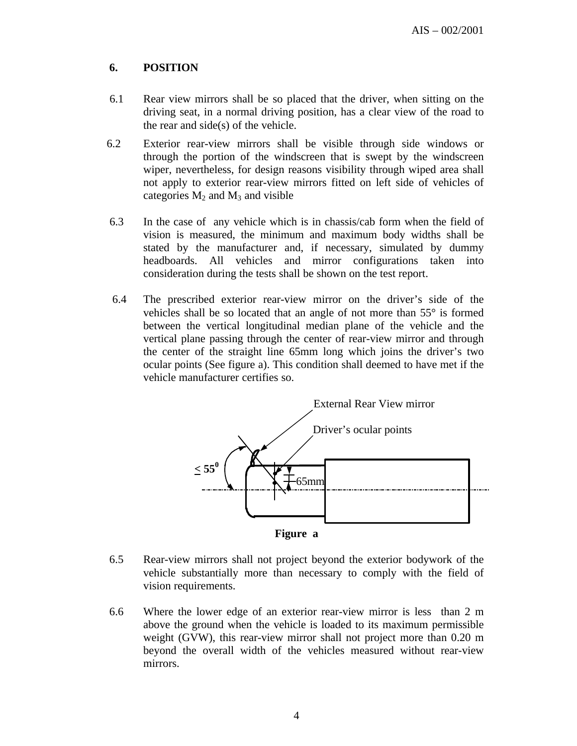# **6. POSITION**

- 6.1 Rear view mirrors shall be so placed that the driver, when sitting on the driving seat, in a normal driving position, has a clear view of the road to the rear and side(s) of the vehicle.
- 6.2 Exterior rear-view mirrors shall be visible through side windows or through the portion of the windscreen that is swept by the windscreen wiper, nevertheless, for design reasons visibility through wiped area shall not apply to exterior rear-view mirrors fitted on left side of vehicles of categories  $M_2$  and  $M_3$  and visible
- 6.3 In the case of any vehicle which is in chassis/cab form when the field of vision is measured, the minimum and maximum body widths shall be stated by the manufacturer and, if necessary, simulated by dummy headboards. All vehicles and mirror configurations taken into consideration during the tests shall be shown on the test report.
- 6.4 The prescribed exterior rear-view mirror on the driver's side of the vehicles shall be so located that an angle of not more than 55° is formed between the vertical longitudinal median plane of the vehicle and the vertical plane passing through the center of rear-view mirror and through the center of the straight line 65mm long which joins the driver's two ocular points (See figure a). This condition shall deemed to have met if the vehicle manufacturer certifies so.



**Figure a**

- 6.5 Rear-view mirrors shall not project beyond the exterior bodywork of the vehicle substantially more than necessary to comply with the field of vision requirements.
- 6.6 Where the lower edge of an exterior rear-view mirror is less than 2 m above the ground when the vehicle is loaded to its maximum permissible weight (GVW), this rear-view mirror shall not project more than 0.20 m beyond the overall width of the vehicles measured without rear-view mirrors.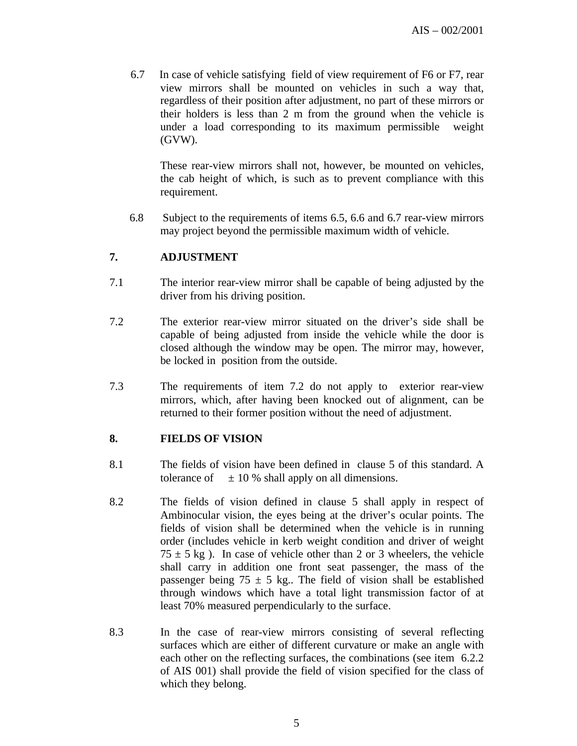6.7 In case of vehicle satisfying field of view requirement of F6 or F7, rear view mirrors shall be mounted on vehicles in such a way that, regardless of their position after adjustment, no part of these mirrors or their holders is less than 2 m from the ground when the vehicle is under a load corresponding to its maximum permissible weight (GVW).

These rear-view mirrors shall not, however, be mounted on vehicles, the cab height of which, is such as to prevent compliance with this requirement.

 6.8 Subject to the requirements of items 6.5, 6.6 and 6.7 rear-view mirrors may project beyond the permissible maximum width of vehicle.

## **7. ADJUSTMENT**

- 7.1 The interior rear-view mirror shall be capable of being adjusted by the driver from his driving position.
- 7.2 The exterior rear-view mirror situated on the driver's side shall be capable of being adjusted from inside the vehicle while the door is closed although the window may be open. The mirror may, however, be locked in position from the outside.
- 7.3 The requirements of item 7.2 do not apply to exterior rear-view mirrors, which, after having been knocked out of alignment, can be returned to their former position without the need of adjustment.

#### **8. FIELDS OF VISION**

- 8.1 The fields of vision have been defined in clause 5 of this standard. A tolerance of  $\pm 10\%$  shall apply on all dimensions.
- 8.2 The fields of vision defined in clause 5 shall apply in respect of Ambinocular vision, the eyes being at the driver's ocular points. The fields of vision shall be determined when the vehicle is in running order (includes vehicle in kerb weight condition and driver of weight  $75 \pm 5$  kg). In case of vehicle other than 2 or 3 wheelers, the vehicle shall carry in addition one front seat passenger, the mass of the passenger being 75  $\pm$  5 kg.. The field of vision shall be established through windows which have a total light transmission factor of at least 70% measured perpendicularly to the surface.
- 8.3 In the case of rear-view mirrors consisting of several reflecting surfaces which are either of different curvature or make an angle with each other on the reflecting surfaces, the combinations (see item 6.2.2 of AIS 001) shall provide the field of vision specified for the class of which they belong.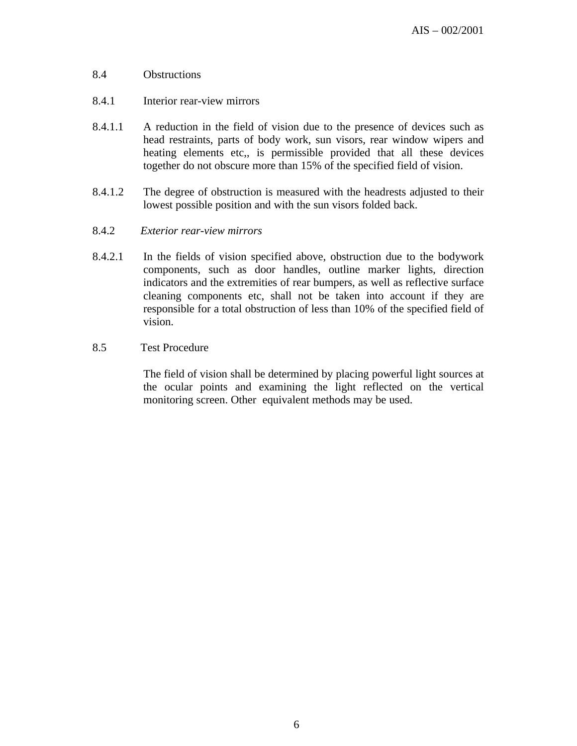#### 8.4 Obstructions

- 8.4.1 Interior rear-view mirrors
- 8.4.1.1 A reduction in the field of vision due to the presence of devices such as head restraints, parts of body work, sun visors, rear window wipers and heating elements etc,, is permissible provided that all these devices together do not obscure more than 15% of the specified field of vision.
- 8.4.1.2 The degree of obstruction is measured with the headrests adjusted to their lowest possible position and with the sun visors folded back.
- 8.4.2 *Exterior rear-view mirrors*
- 8.4.2.1 In the fields of vision specified above, obstruction due to the bodywork components, such as door handles, outline marker lights, direction indicators and the extremities of rear bumpers, as well as reflective surface cleaning components etc, shall not be taken into account if they are responsible for a total obstruction of less than 10% of the specified field of vision.

## 8.5 Test Procedure

 The field of vision shall be determined by placing powerful light sources at the ocular points and examining the light reflected on the vertical monitoring screen. Other equivalent methods may be used.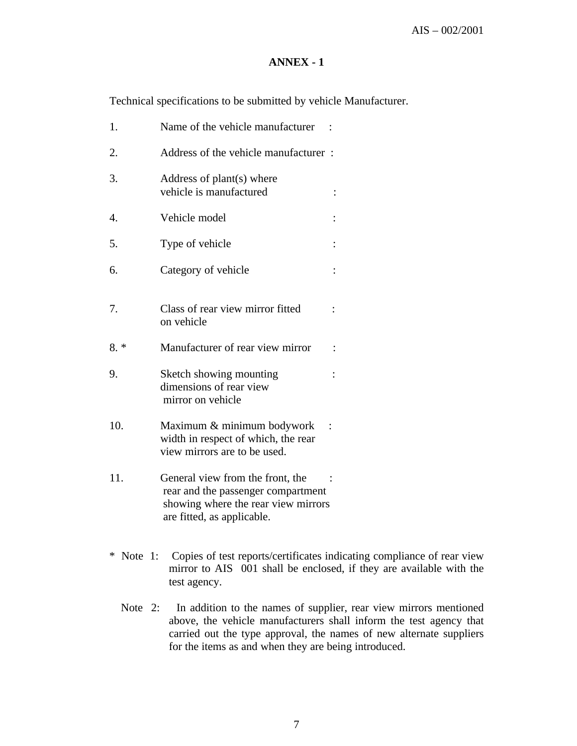### **ANNEX - 1**

Technical specifications to be submitted by vehicle Manufacturer.

| 1.    | Name of the vehicle manufacturer                                                                  |          |
|-------|---------------------------------------------------------------------------------------------------|----------|
| 2.    | Address of the vehicle manufacturer:                                                              |          |
| 3.    | Address of plant(s) where<br>vehicle is manufactured                                              |          |
| 4.    | Vehicle model                                                                                     |          |
| 5.    | Type of vehicle                                                                                   |          |
| 6.    | Category of vehicle                                                                               |          |
| 7.    | Class of rear view mirror fitted<br>on vehicle                                                    |          |
|       |                                                                                                   |          |
| $8.*$ | Manufacturer of rear view mirror                                                                  | $\vdots$ |
| 9.    | Sketch showing mounting<br>dimensions of rear view<br>mirror on vehicle                           |          |
| 10.   | Maximum & minimum bodywork<br>width in respect of which, the rear<br>view mirrors are to be used. |          |

- \* Note 1: Copies of test reports/certificates indicating compliance of rear view mirror to AIS 001 shall be enclosed, if they are available with the test agency.
	- Note 2: In addition to the names of supplier, rear view mirrors mentioned above, the vehicle manufacturers shall inform the test agency that carried out the type approval, the names of new alternate suppliers for the items as and when they are being introduced.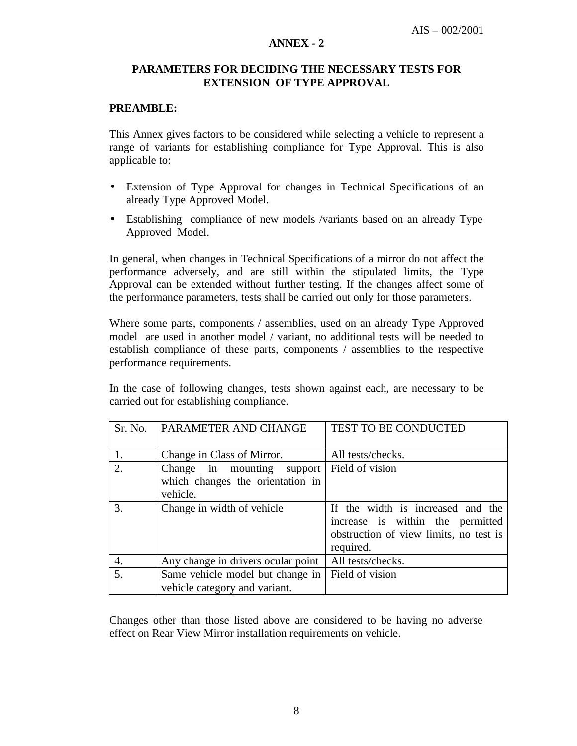#### **ANNEX - 2**

## **PARAMETERS FOR DECIDING THE NECESSARY TESTS FOR EXTENSION OF TYPE APPROVAL**

## **PREAMBLE:**

This Annex gives factors to be considered while selecting a vehicle to represent a range of variants for establishing compliance for Type Approval. This is also applicable to:

- Extension of Type Approval for changes in Technical Specifications of an already Type Approved Model.
- Establishing compliance of new models /variants based on an already Type Approved Model.

In general, when changes in Technical Specifications of a mirror do not affect the performance adversely, and are still within the stipulated limits, the Type Approval can be extended without further testing. If the changes affect some of the performance parameters, tests shall be carried out only for those parameters.

Where some parts, components / assemblies, used on an already Type Approved model are used in another model / variant, no additional tests will be needed to establish compliance of these parts, components / assemblies to the respective performance requirements.

In the case of following changes, tests shown against each, are necessary to be carried out for establishing compliance.

| Sr. No.          | PARAMETER AND CHANGE               | TEST TO BE CONDUCTED                   |
|------------------|------------------------------------|----------------------------------------|
|                  |                                    |                                        |
| 1.               | Change in Class of Mirror.         | All tests/checks.                      |
| $\overline{2}$ . | Change in mounting support         | Field of vision                        |
|                  | which changes the orientation in   |                                        |
|                  | vehicle.                           |                                        |
| 3.               | Change in width of vehicle         | If the width is increased and the      |
|                  |                                    | increase is within the permitted       |
|                  |                                    | obstruction of view limits, no test is |
|                  |                                    | required.                              |
| 4.               | Any change in drivers ocular point | All tests/checks.                      |
| 5.               | Same vehicle model but change in   | Field of vision                        |
|                  | vehicle category and variant.      |                                        |

Changes other than those listed above are considered to be having no adverse effect on Rear View Mirror installation requirements on vehicle.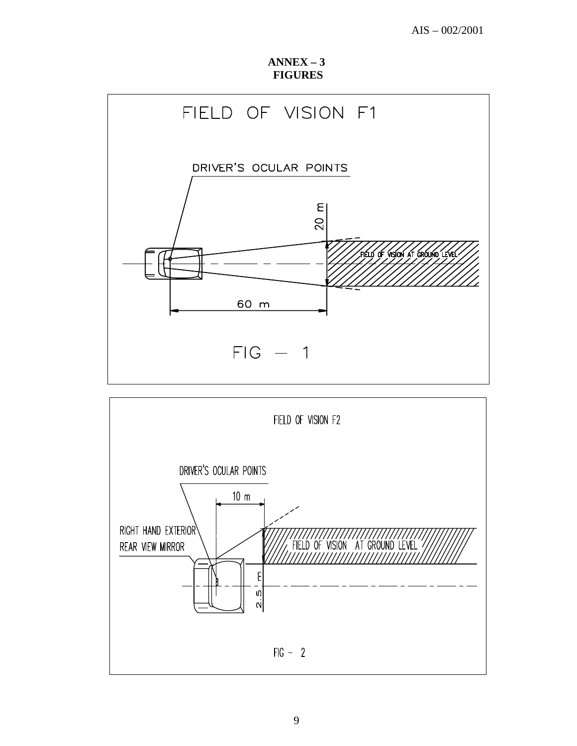**ANNEX – 3 FIGURES**



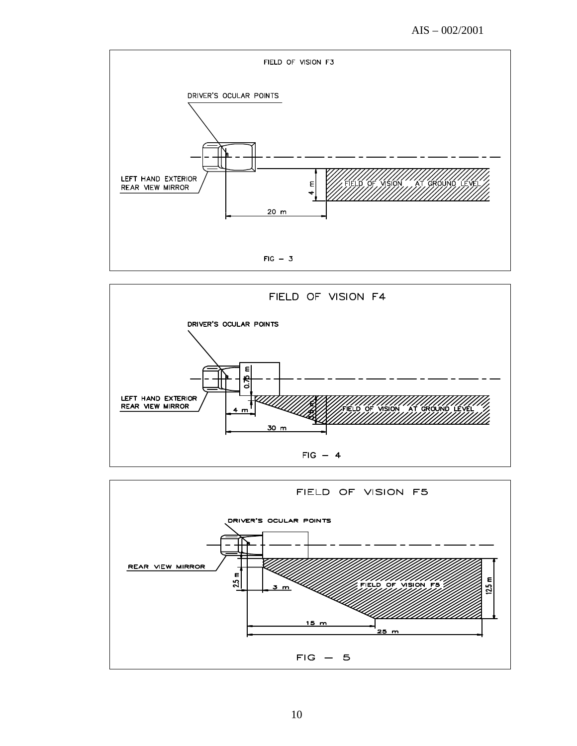AIS – 002/2001







10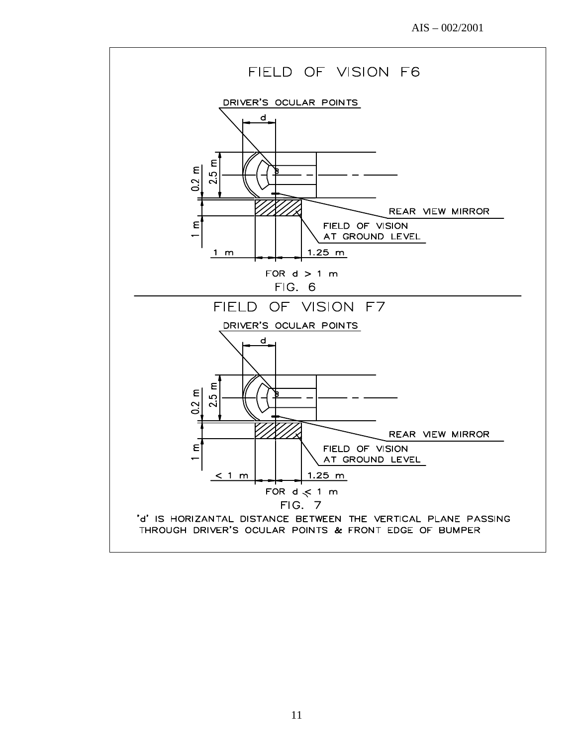